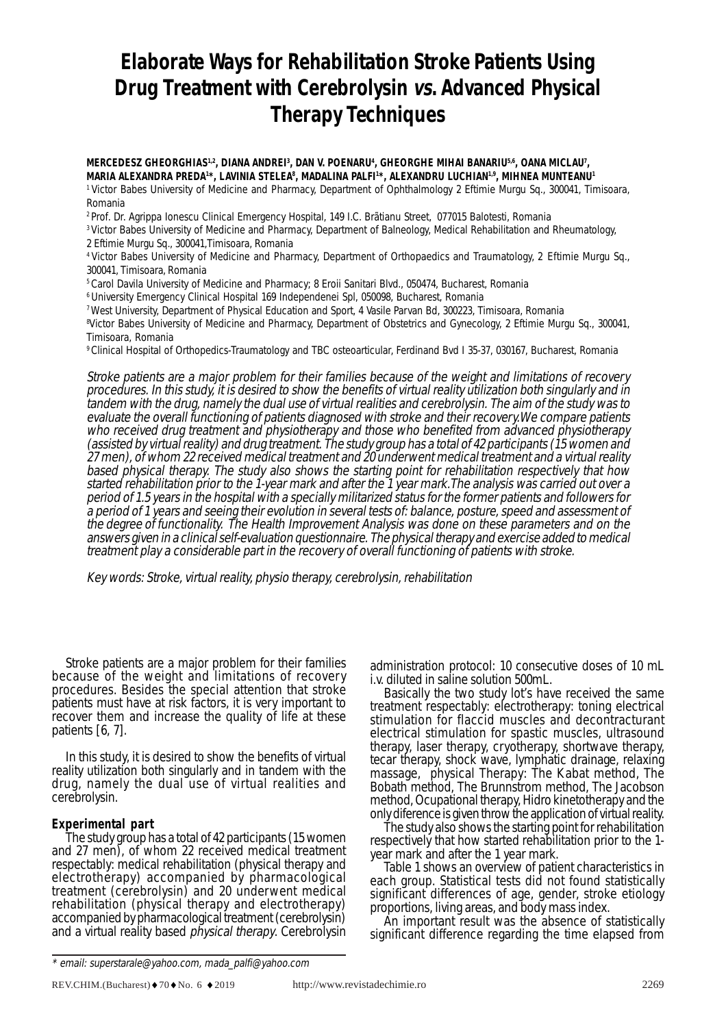# **Elaborate Ways for Rehabilitation Stroke Patients Using Drug Treatment with Cerebrolysin vs. Advanced Physical Therapy Techniques**

MERCEDESZ GHEORGHIAS<sup>1,2</sup>, DIANA ANDREI<sup>3</sup>, DAN V. POENARU<sup>4</sup>, GHEORGHE MIHAI BANARIU<sup>5,6</sup>, OANA MICLAU<sup>7</sup>, MARIA ALEXANDRA PREDA<sup>1\*</sup>, LAVINIA STELEA<sup>8</sup>, MADALINA PALFI\*, ALEXANDRU LUCHIAN<sup>1.9</sup>, MIHNEA MUNTEANU<sup>1</sup>

1 Victor Babes University of Medicine and Pharmacy, Department of Ophthalmology 2 Eftimie Murgu Sq., 300041, Timisoara, Romania

2 Prof. Dr. Agrippa Ionescu Clinical Emergency Hospital, 149 I.C. Brãtianu Street, 077015 Balotesti, Romania

3 Victor Babes University of Medicine and Pharmacy, Department of Balneology, Medical Rehabilitation and Rheumatology, 2 Eftimie Murgu Sq., 300041,Timisoara, Romania

4 Victor Babes University of Medicine and Pharmacy, Department of Orthopaedics and Traumatology, 2 Eftimie Murgu Sq., 300041, Timisoara, Romania

5 Carol Davila University of Medicine and Pharmacy; 8 Eroii Sanitari Blvd., 050474, Bucharest, Romania

6 University Emergency Clinical Hospital 169 Independenei Spl, 050098, Bucharest, Romania

7 West University, Department of Physical Education and Sport, 4 Vasile Parvan Bd, 300223, Timisoara, Romania

8 Victor Babes University of Medicine and Pharmacy, Department of Obstetrics and Gynecology, 2 Eftimie Murgu Sq., 300041, Timisoara, Romania

9 Clinical Hospital of Orthopedics-Traumatology and TBC osteoarticular, Ferdinand Bvd I 35-37, 030167, Bucharest, Romania

Stroke patients are a major problem for their families because of the weight and limitations of recovery procedures. In this study, it is desired to show the benefits of virtual reality utilization both singularly and in tandem with the drug, namely the dual use of virtual realities and cerebrolysin. The aim of the study was to evaluate the overall functioning of patients diagnosed with stroke and their recovery.We compare patients who received drug treatment and physiotherapy and those who benefited from advanced physiotherapy (assisted by virtual reality) and drug treatment. The study group has a total of 42 participants (15 women and 27 men), of whom 22 received medical treatment and 20 underwent medical treatment and a virtual reality based physical therapy. The study also shows the starting point for rehabilitation respectively that how started rehabilitation prior to the 1-year mark and after the 1 year mark.The analysis was carried out over a period of 1.5 years in the hospital with a specially militarized status for the former patients and followers for a period of 1 years and seeing their evolution in several tests of: balance, posture, speed and assessment of the degree of functionality. The Health Improvement Analysis was done on these parameters and on the answers given in a clinical self-evaluation questionnaire. The physical therapy and exercise added to medical treatment play a considerable part in the recovery of overall functioning of patients with stroke.

Key words: Stroke, virtual reality, physio therapy, cerebrolysin, rehabilitation

Stroke patients are a major problem for their families because of the weight and limitations of recovery procedures. Besides the special attention that stroke patients must have at risk factors, it is very important to recover them and increase the quality of life at these patients [6, 7].

In this study, it is desired to show the benefits of virtual reality utilization both singularly and in tandem with the drug, namely the dual use of virtual realities and cerebrolysin.

#### **Experimental part**

The study group has a total of 42 participants (15 women and 27 men), of whom 22 received medical treatment respectably: medical rehabilitation (physical therapy and electrotherapy) accompanied by pharmacological treatment (cerebrolysin) and 20 underwent medical rehabilitation (physical therapy and electrotherapy) accompanied by pharmacological treatment (cerebrolysin) and a virtual reality based *physical therapy*. Cerebrolysin

administration protocol: 10 consecutive doses of 10 mL i.v. diluted in saline solution 500mL.

Basically the two study lot's have received the same treatment respectably: electrotherapy: toning electrical stimulation for flaccid muscles and decontracturant electrical stimulation for spastic muscles, ultrasound therapy, laser therapy, cryotherapy, shortwave therapy, tecar therapy, shock wave, lymphatic drainage, relaxing massage, physical Therapy: The Kabat method, The Bobath method, The Brunnstrom method, The Jacobson method, Ocupational therapy, Hidro kinetotherapy and the only diference is given throw the application of virtual reality.

The study also shows the starting point for rehabilitation respectively that how started rehabilitation prior to the 1 year mark and after the 1 year mark.

Table 1 shows an overview of patient characteristics in each group. Statistical tests did not found statistically significant differences of age, gender, stroke etiology<br>proportions, living areas, and body mass index.

An important result was the absence of statistically significant difference regarding the time elapsed from

<sup>\*</sup> email: superstarale@yahoo.com, mada\_palfi@yahoo.com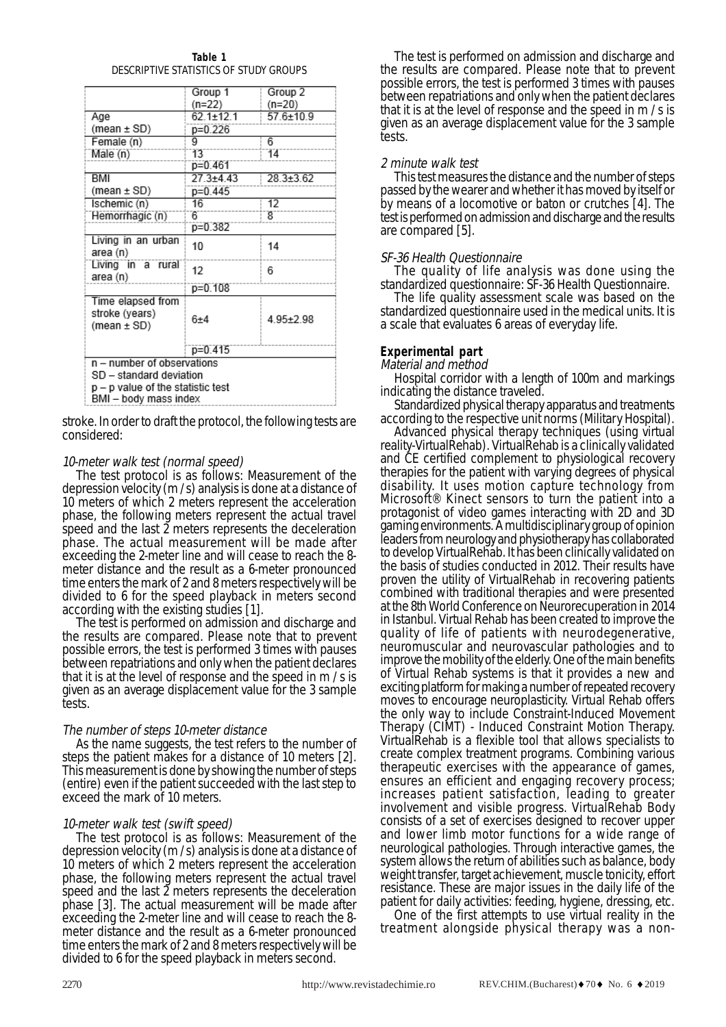| Table 1                                |
|----------------------------------------|
| DESCRIPTIVE STATISTICS OF STUDY GROUPS |

|                                                            | Group 1         | Group 2         |
|------------------------------------------------------------|-----------------|-----------------|
|                                                            | (n=22)          | $(n=20)$        |
| Age                                                        | $62.1 \pm 12.1$ | $57.6 \pm 10.9$ |
| (mean $\pm$ SD)                                            | p=0.226         |                 |
| Female (n)                                                 | g               | 6               |
| Male (n)                                                   | 13              | 14              |
|                                                            | $p=0.461$       |                 |
| BMI                                                        | $27.3 + 4.43$   | $28.3 \pm 3.62$ |
| (mean $\pm$ SD)                                            | $p=0.445$       |                 |
| Ischemic (n)                                               | 16              | 12              |
| Hemorrhagic (n)                                            | 6               | 8               |
|                                                            | p=0.382         |                 |
| Living in an urban<br>area (n)                             | 10              | 14              |
| Living in a rural<br>area (n)                              | 12              | 6               |
|                                                            | p=0.108         |                 |
| Time elapsed from<br>stroke (years)<br>(mean $\pm$ SD)     | $6 + 4$         | $4.95 \pm 2.98$ |
|                                                            | p=0.415         |                 |
| n - number of observations                                 |                 |                 |
| SD - standard deviation                                    |                 |                 |
| p – p value of the statistic test<br>BMI – body mass index |                 |                 |

stroke. In order to draft the protocol, the following tests are considered:

#### 10-meter walk test (normal speed)

The test protocol is as follows: Measurement of the depression velocity (m / s) analysis is done at a distance of 10 meters of which 2 meters represent the acceleration phase, the following meters represent the actual travel speed and the last 2 meters represents the deceleration phase. The actual measurement will be made after exceeding the 2-meter line and will cease to reach the 8 meter distance and the result as a 6-meter pronounced time enters the mark of 2 and 8 meters respectively will be divided to 6 for the speed playback in meters second according with the existing studies [1].

The test is performed on admission and discharge and the results are compared. Please note that to prevent possible errors, the test is performed 3 times with pauses between repatriations and only when the patient declares that it is at the level of response and the speed in m / s is given as an average displacement value for the 3 sample tests.

The number of steps 10-meter distance<br>As the name suggests, the test refers to the number of steps the patient makes for a distance of 10 meters [2]. This measurement is done by showing the number of steps (entire) even if the patient succeeded with the last step to exceed the mark of 10 meters.

#### 10-meter walk test (swift speed)

The test protocol is as follows: Measurement of the depression velocity (m / s) analysis is done at a distance of 10 meters of which 2 meters represent the acceleration phase, the following meters represent the actual travel speed and the last  $\tilde{z}$  meters represents the deceleration phase [3]. The actual measurement will be made after exceeding the 2-meter line and will cease to reach the 8 meter distance and the result as a 6-meter pronounced time enters the mark of 2 and 8 meters respectively will be divided to 6 for the speed playback in meters second.

The test is performed on admission and discharge and the results are compared. Please note that to prevent possible errors, the test is performed 3 times with pauses between repatriations and only when the patient declares that it is at the level of response and the speed in  $m / s$  is given as an average displacement value for the 3 sample tests.

#### 2 minute walk test

This test measures the distance and the number of steps passed by the wearer and whether it has moved by itself or by means of a locomotive or baton or crutches [4]. The test is performed on admission and discharge and the results are compared [5].

#### SF-36 Health Questionnaire

The quality of life analysis was done using the

standardized questionnaire: SF-36 Health Questionnaire. standardized questionnaire used in the medical units. It is a scale that evaluates 6 areas of everyday life.

### **Experimental part**

Material and method

Hospital corridor with a length of 100m and markings indicating the distance traveled.

Standardized physical therapy apparatus and treatments according to the respective unit norms (Military Hospital).

Advanced physical therapy techniques (using virtual reality-VirtualRehab). VirtualRehab is a clinically validated and CE certified complement to physiological recovery therapies for the patient with varying degrees of physical disability. It uses motion capture technology from Microsoft® Kinect sensors to turn the patient into a protagonist of video games interacting with 2D and 3D gaming environments. A multidisciplinary group of opinion leaders from neurology and physiotherapy has collaborated to develop VirtualRehab. It has been clinically validated on the basis of studies conducted in 2012. Their results have proven the utility of VirtualRehab in recovering patients combined with traditional therapies and were presented at the 8th World Conference on Neurorecuperation in 2014 in Istanbul. Virtual Rehab has been created to improve the quality of life of patients with neurodegenerative, neuromuscular and neurovascular pathologies and to improve the mobility of the elderly. One of the main benefits of Virtual Rehab systems is that it provides a new and exciting platform for making a number of repeated recovery moves to encourage neuroplasticity. Virtual Rehab offers the only way to include Constraint-Induced Movement Therapy (CIMT) - Induced Constraint Motion Therapy. VirtualRehab is a flexible tool that allows specialists to create complex treatment programs. Combining various therapeutic exercises with the appearance of games, ensures an efficient and engaging recovery process; increases patient satisfaction, leading to greater involvement and visible progress. VirtualRehab Body consists of a set of exercises designed to recover upper and lower limb motor functions for a wide range of neurological pathologies. Through interactive games, the system allows the return of abilities such as balance, body weight transfer, target achievement, muscle tonicity, effort resistance. These are major issues in the daily life of the patient for daily activities: feeding, hygiene, dressing, etc.

One of the first attempts to use virtual reality in the treatment alongside physical therapy was a non-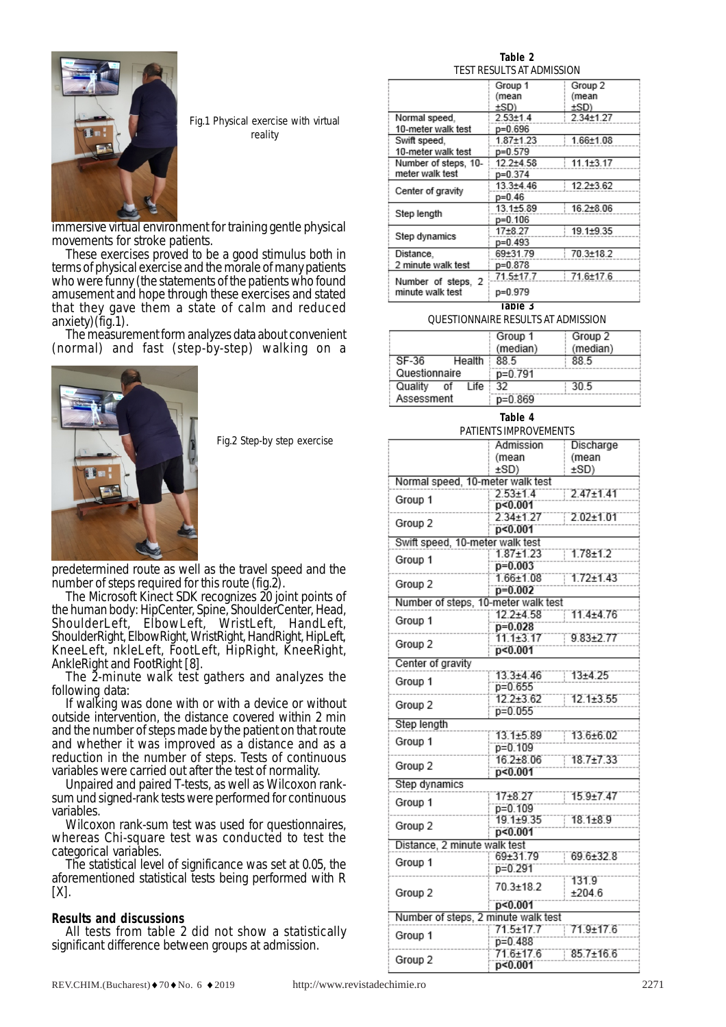

Fig.1 Physical exercise with virtual reality

immersive virtual environment for training gentle physical movements for stroke patients.

These exercises proved to be a good stimulus both in terms of physical exercise and the morale of many patients who were funny (the statements of the patients who found amusement and hope through these exercises and stated that they gave them a state of calm and reduced anxiety) (fig.1).

The measurement form analyzes data about convenient (normal) and fast (step-by-step) walking on a



Fig.2 Step-by step exercise

predetermined route as well as the travel speed and the number of steps required for this route (fig.2).<br>The Microsoft Kinect SDK recognizes 20 joint points of

the human body: HipCenter, Spine, ShoulderCenter, Head, ShoulderLeft, ElbowLeft, WristLeft, HandLeft, ShoulderRight, ElbowRight, WristRight, HandRight, HipLeft, KneeLeft, nkleLeft, FootLeft, HipRight, KneeRight, AnkleRight and FootRight [8].

The 2-minute walk test gathers and analyzes the following data:

If walking was done with or with a device or without outside intervention, the distance covered within 2 min and the number of steps made by the patient on that route and whether it was improved as a distance and as a reduction in the number of steps. Tests of continuous variables were carried out after the test of normality.

Unpaired and paired T-tests, as well as Wilcoxon ranksum und signed-rank tests were performed for continuous variables.

Wilcoxon rank-sum test was used for questionnaires, whereas Chi-square test was conducted to test the categorical variables.

The statistical level of significance was set at 0.05, the aforementioned statistical tests being performed with R  $[X]$ .

#### **Results and discussions**

All tests from table 2 did not show a statistically significant difference between groups at admission.

**Table 2** TEST RESULTS AT ADMISSION

|                                        | Group 1       | Group 2         |
|----------------------------------------|---------------|-----------------|
|                                        | (mean         | (mean           |
|                                        | ±SD)          | ±SD)            |
| Normal speed.                          | $2.53 + 1.4$  | $2.34 \pm 1.27$ |
| 10-meter walk test                     | p=0.696       |                 |
| Swift speed,                           | 1.87±1.23     | 1.66±1.08       |
| 10-meter walk test                     | p=0.579       |                 |
| Number of steps, 10-                   | $12.2 + 4.58$ | $11.1 \pm 3.17$ |
| meter walk test                        | p=0.374       |                 |
| Center of gravity                      | 13.3±4.46     | $12.2 + 3.62$   |
|                                        | $p=0.46$      |                 |
| Step length                            | 13.1±5.89     | $16.2 + 8.06$   |
|                                        | p=0.106       |                 |
| Step dynamics                          | 17+8.27       | 19.1±9.35       |
|                                        | p=0.493       |                 |
| Distance,                              | 69±31.79      | 70.3±18.2       |
| 2 minute walk test                     | p=0.878       |                 |
|                                        | 71.5±17.7     | 71.6±17.6       |
| Number of steps, 2<br>minute walk test | p=0.979       |                 |
|                                        |               |                 |

**Table 3**

#### QUESTIONNAIRE RESULTS AT ADMISSION

|               |    |        | Group 1   | Group 2  |
|---------------|----|--------|-----------|----------|
|               |    |        | (median)  | (median) |
| SF-36         |    | Health | 88.5      | 88.5     |
| Questionnaire |    |        | p=0.791   |          |
| Quality       | οf | Life   | -32       | 30.5     |
| Assessment    |    |        | $p=0.869$ |          |

## **Table 4**

#### PATIENTS IMPROVEMENTS

|                                     | Admission                           | Discharge       |  |  |
|-------------------------------------|-------------------------------------|-----------------|--|--|
|                                     | (mean                               | (mean           |  |  |
|                                     | ±SD()                               | ±SD)            |  |  |
| Normal speed, 10-meter walk test    |                                     |                 |  |  |
| Group 1                             | $2.53 + 1.4$                        | $2.47 \pm 1.41$ |  |  |
|                                     | p<0.001                             |                 |  |  |
| Group 2                             | $2.34 + 1.27$                       | $2.02 \pm 1.01$ |  |  |
|                                     | p<0.001                             |                 |  |  |
| Swift speed, 10-meter walk test     |                                     |                 |  |  |
| Group 1                             | $1.87 + 1.23$                       | $1.78 + 1.2$    |  |  |
|                                     | $p=0.003$                           |                 |  |  |
| Group 2                             | $1.66 + 1.08$                       | $1.72 + 1.43$   |  |  |
|                                     | $p=0.002$                           |                 |  |  |
| Number of steps, 10-meter walk test |                                     |                 |  |  |
| Group 1                             | 12.2±4.58                           | 11.4±4.76       |  |  |
|                                     | $p=0.028$<br>11.1±3.17              | $9.83 + 2.77$   |  |  |
| Group 2                             | p<0.001                             |                 |  |  |
| Center of gravity                   |                                     |                 |  |  |
|                                     | 13.3±4.46                           | $13 + 4.25$     |  |  |
| Group 1                             | p=0.655                             |                 |  |  |
|                                     | 12.2±3.62                           | 12.1±3.55       |  |  |
| Group 2                             | p=0.055                             |                 |  |  |
| Step length                         |                                     |                 |  |  |
|                                     | 13.1±5.89                           | 13.6±6.02       |  |  |
| Group 1                             | p=0.109                             |                 |  |  |
|                                     | 16.2±8.06                           | 18.7±7.33       |  |  |
| Group 2                             | p<0.001                             |                 |  |  |
| Step dynamics                       |                                     |                 |  |  |
|                                     | 17±8.27                             | $15.9 + 7.47$   |  |  |
| Group 1                             | p=0.109                             |                 |  |  |
|                                     | 19.1±9.35                           | 18.1±8.9        |  |  |
| Group 2                             | p<0.001                             |                 |  |  |
|                                     | Distance, 2 minute walk test        |                 |  |  |
| Group 1                             | 69±31.79                            | 69.6±32.8       |  |  |
|                                     | p=0.291                             |                 |  |  |
|                                     | 70.3±18.2                           | 131.9           |  |  |
| Group 2                             |                                     | ±204.6          |  |  |
|                                     | p<0.001                             |                 |  |  |
|                                     | Number of steps, 2 minute walk test |                 |  |  |
| Group 1                             | 71.5±17.7                           | 71.9±17.6       |  |  |
|                                     | p=0.488                             |                 |  |  |
| Group 2                             | 71.6±17.6                           | $85.7 \pm 16.6$ |  |  |
|                                     | p<0.001                             |                 |  |  |